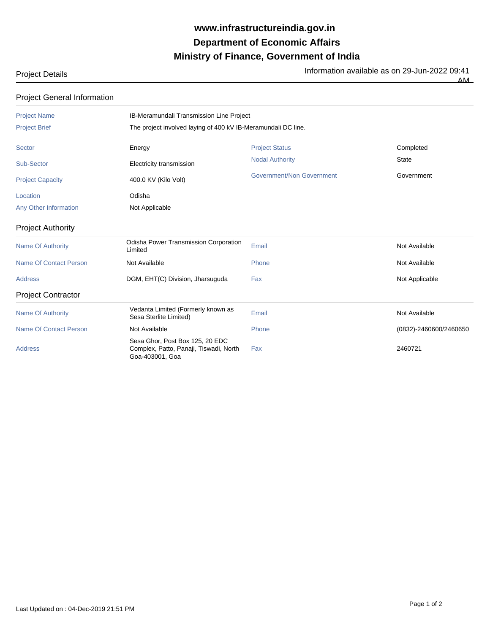## **Ministry of Finance, Government of India Department of Economic Affairs www.infrastructureindia.gov.in**

| <b>Project Details</b> | Information available as on 29-Jun-2022 09:41 |
|------------------------|-----------------------------------------------|
|                        | AМ<br>____                                    |

| <b>Project General Information</b> |                                                                                              |                                  |                        |  |
|------------------------------------|----------------------------------------------------------------------------------------------|----------------------------------|------------------------|--|
| <b>Project Name</b>                | IB-Meramundali Transmission Line Project                                                     |                                  |                        |  |
| <b>Project Brief</b>               | The project involved laying of 400 kV IB-Meramundali DC line.                                |                                  |                        |  |
| Sector                             | Energy                                                                                       | <b>Project Status</b>            | Completed              |  |
| Sub-Sector                         | Electricity transmission                                                                     | <b>Nodal Authority</b>           | <b>State</b>           |  |
| <b>Project Capacity</b>            | 400.0 KV (Kilo Volt)                                                                         | <b>Government/Non Government</b> | Government             |  |
| Location                           | Odisha                                                                                       |                                  |                        |  |
| Any Other Information              | Not Applicable                                                                               |                                  |                        |  |
| <b>Project Authority</b>           |                                                                                              |                                  |                        |  |
| <b>Name Of Authority</b>           | Odisha Power Transmission Corporation<br>Limited                                             | Email                            | Not Available          |  |
| <b>Name Of Contact Person</b>      | Not Available                                                                                | Phone                            | Not Available          |  |
| <b>Address</b>                     | DGM, EHT(C) Division, Jharsuguda                                                             | Fax                              | Not Applicable         |  |
| <b>Project Contractor</b>          |                                                                                              |                                  |                        |  |
| <b>Name Of Authority</b>           | Vedanta Limited (Formerly known as<br>Sesa Sterlite Limited)                                 | Email                            | Not Available          |  |
| <b>Name Of Contact Person</b>      | Not Available                                                                                | Phone                            | (0832)-2460600/2460650 |  |
| <b>Address</b>                     | Sesa Ghor, Post Box 125, 20 EDC<br>Complex, Patto, Panaji, Tiswadi, North<br>Goa-403001, Goa | Fax                              | 2460721                |  |